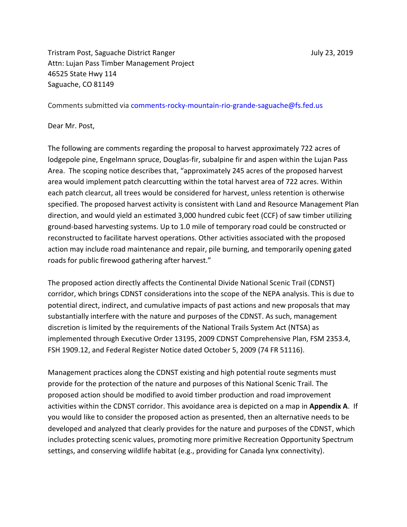Tristram Post, Saguache District Ranger July 23, 2019 Attn: Lujan Pass Timber Management Project 46525 State Hwy 114 Saguache, CO 81149

Comments submitted via comments-rocky-mountain-rio-grande-saguache@fs.fed.us

Dear Mr. Post,

The following are comments regarding the proposal to harvest approximately 722 acres of lodgepole pine, Engelmann spruce, Douglas-fir, subalpine fir and aspen within the Lujan Pass Area. The scoping notice describes that, "approximately 245 acres of the proposed harvest area would implement patch clearcutting within the total harvest area of 722 acres. Within each patch clearcut, all trees would be considered for harvest, unless retention is otherwise specified. The proposed harvest activity is consistent with Land and Resource Management Plan direction, and would yield an estimated 3,000 hundred cubic feet (CCF) of saw timber utilizing ground-based harvesting systems. Up to 1.0 mile of temporary road could be constructed or reconstructed to facilitate harvest operations. Other activities associated with the proposed action may include road maintenance and repair, pile burning, and temporarily opening gated roads for public firewood gathering after harvest."

The proposed action directly affects the Continental Divide National Scenic Trail (CDNST) corridor, which brings CDNST considerations into the scope of the NEPA analysis. This is due to potential direct, indirect, and cumulative impacts of past actions and new proposals that may substantially interfere with the nature and purposes of the CDNST. As such, management discretion is limited by the requirements of the National Trails System Act (NTSA) as implemented through Executive Order 13195, 2009 CDNST Comprehensive Plan, FSM 2353.4, FSH 1909.12, and Federal Register Notice dated October 5, 2009 (74 FR 51116).

Management practices along the CDNST existing and high potential route segments must provide for the protection of the nature and purposes of this National Scenic Trail. The proposed action should be modified to avoid timber production and road improvement activities within the CDNST corridor. This avoidance area is depicted on a map in **Appendix A**. If you would like to consider the proposed action as presented, then an alternative needs to be developed and analyzed that clearly provides for the nature and purposes of the CDNST, which includes protecting scenic values, promoting more primitive Recreation Opportunity Spectrum settings, and conserving wildlife habitat (e.g., providing for Canada lynx connectivity).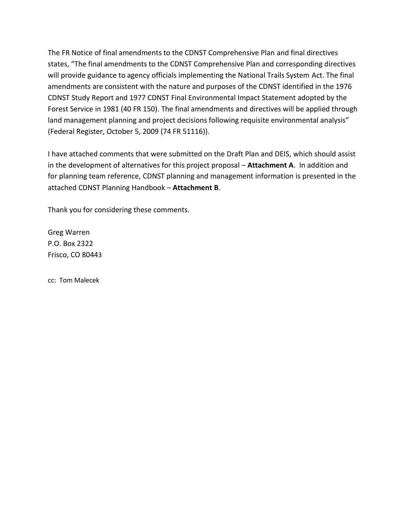The FR Notice of final amendments to the CDNST Comprehensive Plan and final directives states, "The final amendments to the CDNST Comprehensive Plan and corresponding directives will provide guidance to agency officials implementing the National Trails System Act. The final amendments are consistent with the nature and purposes of the CDNST identified in the 1976 CDNST Study Report and 1977 CDNST Final Environmental Impact Statement adopted by the Forest Service in 1981 (40 FR 150). The final amendments and directives will be applied through land management planning and project decisions following requisite environmental analysis" (Federal Register, October 5, 2009 (74 FR 51116)).

I have attached comments that were submitted on the Draft Plan and DEIS, which should assist in the development of alternatives for this project proposal – **Attachment A**. In addition and for planning team reference, CDNST planning and management information is presented in the attached CDNST Planning Handbook – **Attachment B**.

Thank you for considering these comments.

Greg Warren P.O. Box 2322 Frisco, CO 80443

cc: Tom Malecek